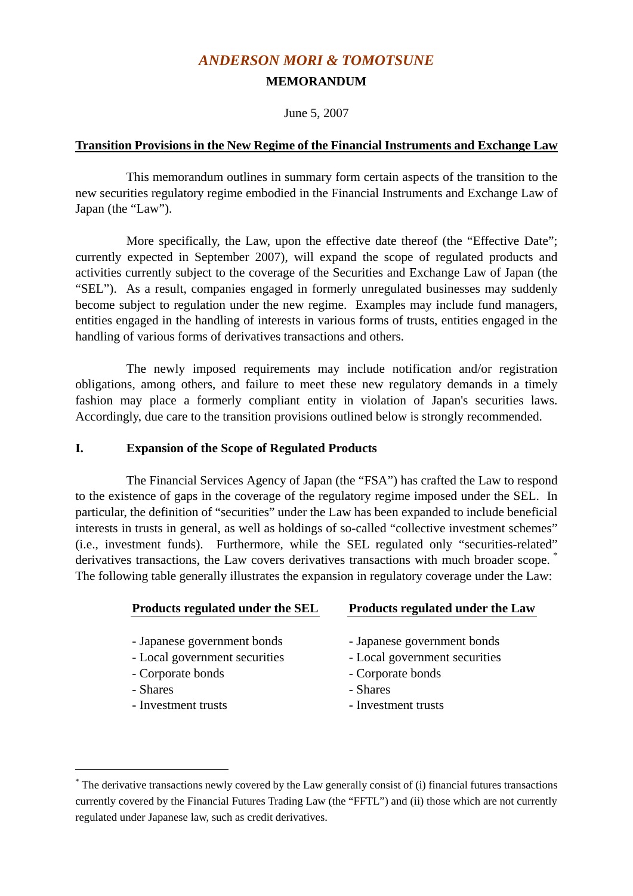# *ANDERSON MORI & TOMOTSUNE*  **MEMORANDUM**

June 5, 2007

#### **Transition Provisions in the New Regime of the Financial Instruments and Exchange Law**

 This memorandum outlines in summary form certain aspects of the transition to the new securities regulatory regime embodied in the Financial Instruments and Exchange Law of Japan (the "Law").

More specifically, the Law, upon the effective date thereof (the "Effective Date"; currently expected in September 2007), will expand the scope of regulated products and activities currently subject to the coverage of the Securities and Exchange Law of Japan (the "SEL"). As a result, companies engaged in formerly unregulated businesses may suddenly become subject to regulation under the new regime. Examples may include fund managers, entities engaged in the handling of interests in various forms of trusts, entities engaged in the handling of various forms of derivatives transactions and others.

 The newly imposed requirements may include notification and/or registration obligations, among others, and failure to meet these new regulatory demands in a timely fashion may place a formerly compliant entity in violation of Japan's securities laws. Accordingly, due care to the transition provisions outlined below is strongly recommended.

#### **I. Expansion of the Scope of Regulated Products**

1

 The Financial Services Agency of Japan (the "FSA") has crafted the Law to respond to the existence of gaps in the coverage of the regulatory regime imposed under the SEL. In particular, the definition of "securities" under the Law has been expanded to include beneficial interests in trusts in general, as well as holdings of so-called "collective investment schemes" (i.e., investment funds). Furthermore, while the SEL regulated only "securities-related" derivatives transactions, the Law covers derivatives transactions with much broader scope.<sup>\*</sup> The following table generally illustrates the expansion in regulatory coverage under the Law:

| Products regulated under the SEL | <b>Products regulated under the Law</b> |
|----------------------------------|-----------------------------------------|
| - Japanese government bonds      | - Japanese government bonds             |
| - Local government securities    | - Local government securities           |
| - Corporate bonds                | - Corporate bonds                       |
| - Shares                         | - Shares                                |
| - Investment trusts              | - Investment trusts                     |

<sup>\*</sup> The derivative transactions newly covered by the Law generally consist of (i) financial futures transactions currently covered by the Financial Futures Trading Law (the "FFTL") and (ii) those which are not currently regulated under Japanese law, such as credit derivatives.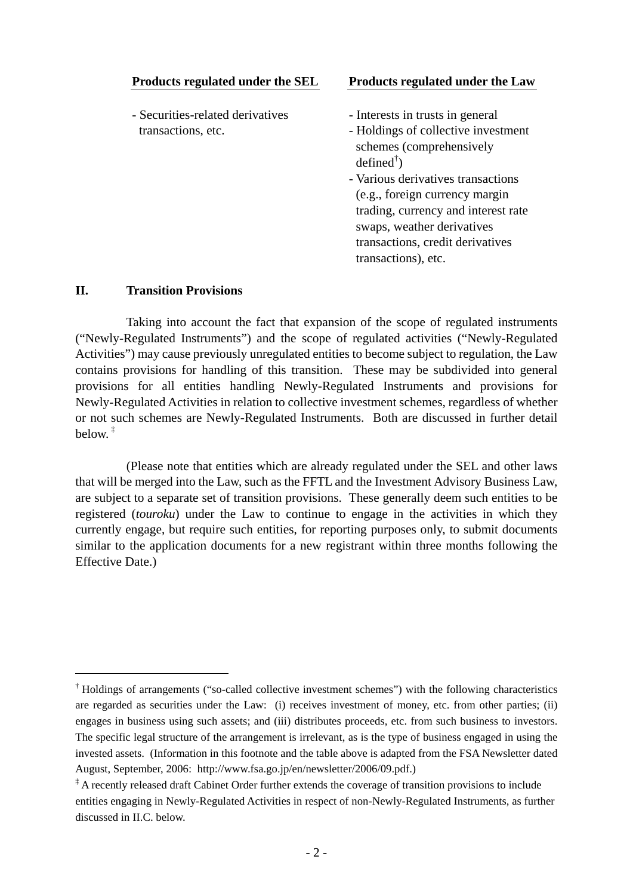| Products regulated under the SEL | <b>Products regulated under the Law</b> |
|----------------------------------|-----------------------------------------|
|                                  |                                         |
| - Securities-related derivatives | - Interests in trusts in general        |
| transactions, etc.               | - Holdings of collective investment     |
|                                  | schemes (comprehensively                |
|                                  | $defined^{\dagger}$ )                   |
|                                  | - Various derivatives transactions      |
|                                  | (e.g., foreign currency margin          |
|                                  | trading, currency and interest rate     |
|                                  | swaps, weather derivatives              |
|                                  | transactions, credit derivatives        |
|                                  | transactions), etc.                     |

#### **II. Transition Provisions**

1

 Taking into account the fact that expansion of the scope of regulated instruments ("Newly-Regulated Instruments") and the scope of regulated activities ("Newly-Regulated Activities") may cause previously unregulated entities to become subject to regulation, the Law contains provisions for handling of this transition. These may be subdivided into general provisions for all entities handling Newly-Regulated Instruments and provisions for Newly-Regulated Activities in relation to collective investment schemes, regardless of whether or not such schemes are Newly-Regulated Instruments. Both are discussed in further detail below $\pm$ 

 (Please note that entities which are already regulated under the SEL and other laws that will be merged into the Law, such as the FFTL and the Investment Advisory Business Law, are subject to a separate set of transition provisions. These generally deem such entities to be registered (*touroku*) under the Law to continue to engage in the activities in which they currently engage, but require such entities, for reporting purposes only, to submit documents similar to the application documents for a new registrant within three months following the Effective Date.)

<sup>†</sup> Holdings of arrangements ("so-called collective investment schemes") with the following characteristics are regarded as securities under the Law: (i) receives investment of money, etc. from other parties; (ii) engages in business using such assets; and (iii) distributes proceeds, etc. from such business to investors. The specific legal structure of the arrangement is irrelevant, as is the type of business engaged in using the invested assets. (Information in this footnote and the table above is adapted from the FSA Newsletter dated August, September, 2006: http://www.fsa.go.jp/en/newsletter/2006/09.pdf.)

<sup>‡</sup> A recently released draft Cabinet Order further extends the coverage of transition provisions to include entities engaging in Newly-Regulated Activities in respect of non-Newly-Regulated Instruments, as further discussed in II.C. below.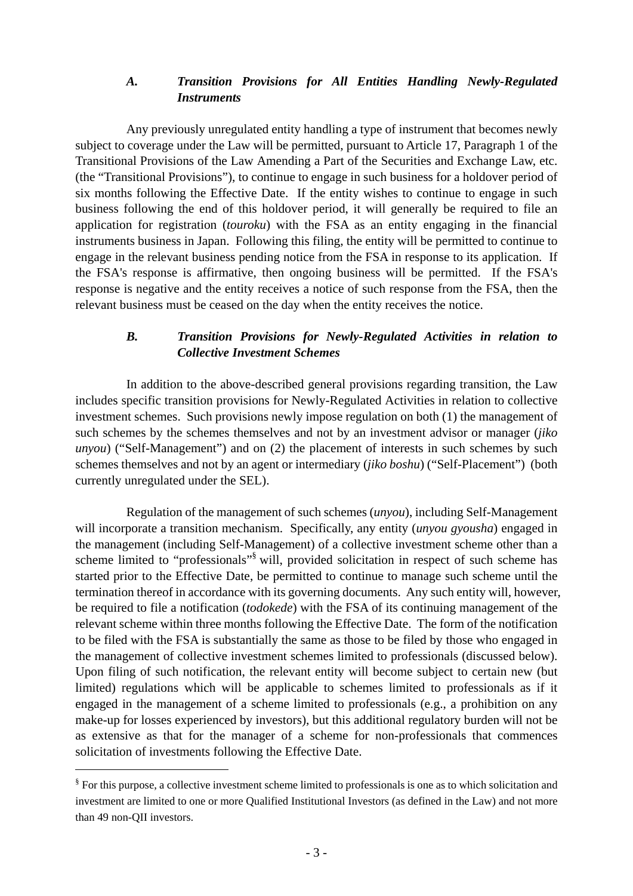### *A. Transition Provisions for All Entities Handling Newly-Regulated Instruments*

 Any previously unregulated entity handling a type of instrument that becomes newly subject to coverage under the Law will be permitted, pursuant to Article 17, Paragraph 1 of the Transitional Provisions of the Law Amending a Part of the Securities and Exchange Law, etc. (the "Transitional Provisions"), to continue to engage in such business for a holdover period of six months following the Effective Date. If the entity wishes to continue to engage in such business following the end of this holdover period, it will generally be required to file an application for registration (*touroku*) with the FSA as an entity engaging in the financial instruments business in Japan. Following this filing, the entity will be permitted to continue to engage in the relevant business pending notice from the FSA in response to its application. If the FSA's response is affirmative, then ongoing business will be permitted. If the FSA's response is negative and the entity receives a notice of such response from the FSA, then the relevant business must be ceased on the day when the entity receives the notice.

## *B. Transition Provisions for Newly-Regulated Activities in relation to Collective Investment Schemes*

 In addition to the above-described general provisions regarding transition, the Law includes specific transition provisions for Newly-Regulated Activities in relation to collective investment schemes. Such provisions newly impose regulation on both (1) the management of such schemes by the schemes themselves and not by an investment advisor or manager (*jiko unyou*) ("Self-Management") and on (2) the placement of interests in such schemes by such schemes themselves and not by an agent or intermediary (*jiko boshu*) ("Self-Placement") (both currently unregulated under the SEL).

 Regulation of the management of such schemes (*unyou*), including Self-Management will incorporate a transition mechanism. Specifically, any entity (*unyou gyousha*) engaged in the management (including Self-Management) of a collective investment scheme other than a scheme limited to "professionals"<sup>§</sup> will, provided solicitation in respect of such scheme has started prior to the Effective Date, be permitted to continue to manage such scheme until the termination thereof in accordance with its governing documents. Any such entity will, however, be required to file a notification (*todokede*) with the FSA of its continuing management of the relevant scheme within three months following the Effective Date. The form of the notification to be filed with the FSA is substantially the same as those to be filed by those who engaged in the management of collective investment schemes limited to professionals (discussed below). Upon filing of such notification, the relevant entity will become subject to certain new (but limited) regulations which will be applicable to schemes limited to professionals as if it engaged in the management of a scheme limited to professionals (e.g., a prohibition on any make-up for losses experienced by investors), but this additional regulatory burden will not be as extensive as that for the manager of a scheme for non-professionals that commences solicitation of investments following the Effective Date.

1

<sup>§</sup> For this purpose, a collective investment scheme limited to professionals is one as to which solicitation and investment are limited to one or more Qualified Institutional Investors (as defined in the Law) and not more than 49 non-QII investors.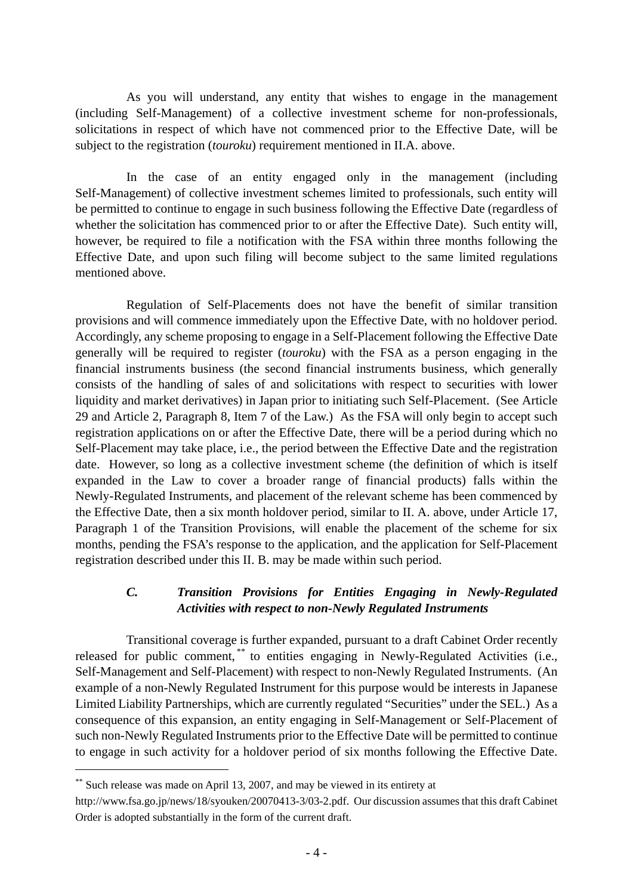As you will understand, any entity that wishes to engage in the management (including Self-Management) of a collective investment scheme for non-professionals, solicitations in respect of which have not commenced prior to the Effective Date, will be subject to the registration (*touroku*) requirement mentioned in II.A. above.

 In the case of an entity engaged only in the management (including Self-Management) of collective investment schemes limited to professionals, such entity will be permitted to continue to engage in such business following the Effective Date (regardless of whether the solicitation has commenced prior to or after the Effective Date). Such entity will, however, be required to file a notification with the FSA within three months following the Effective Date, and upon such filing will become subject to the same limited regulations mentioned above.

 Regulation of Self-Placements does not have the benefit of similar transition provisions and will commence immediately upon the Effective Date, with no holdover period. Accordingly, any scheme proposing to engage in a Self-Placement following the Effective Date generally will be required to register (*touroku*) with the FSA as a person engaging in the financial instruments business (the second financial instruments business, which generally consists of the handling of sales of and solicitations with respect to securities with lower liquidity and market derivatives) in Japan prior to initiating such Self-Placement. (See Article 29 and Article 2, Paragraph 8, Item 7 of the Law.) As the FSA will only begin to accept such registration applications on or after the Effective Date, there will be a period during which no Self-Placement may take place, i.e., the period between the Effective Date and the registration date. However, so long as a collective investment scheme (the definition of which is itself expanded in the Law to cover a broader range of financial products) falls within the Newly-Regulated Instruments, and placement of the relevant scheme has been commenced by the Effective Date, then a six month holdover period, similar to II. A. above, under Article 17, Paragraph 1 of the Transition Provisions, will enable the placement of the scheme for six months, pending the FSA's response to the application, and the application for Self-Placement registration described under this II. B. may be made within such period.

## *C. Transition Provisions for Entities Engaging in Newly-Regulated Activities with respect to non-Newly Regulated Instruments*

 Transitional coverage is further expanded, pursuant to a draft Cabinet Order recently released for public comment,<sup>\*\*</sup> to entities engaging in Newly-Regulated Activities (i.e., Self-Management and Self-Placement) with respect to non-Newly Regulated Instruments. (An example of a non-Newly Regulated Instrument for this purpose would be interests in Japanese Limited Liability Partnerships, which are currently regulated "Securities" under the SEL.) As a consequence of this expansion, an entity engaging in Self-Management or Self-Placement of such non-Newly Regulated Instruments prior to the Effective Date will be permitted to continue to engage in such activity for a holdover period of six months following the Effective Date.

1

<sup>\*\*</sup> Such release was made on April 13, 2007, and may be viewed in its entirety at

http://www.fsa.go.jp/news/18/syouken/20070413-3/03-2.pdf. Our discussion assumes that this draft Cabinet Order is adopted substantially in the form of the current draft.